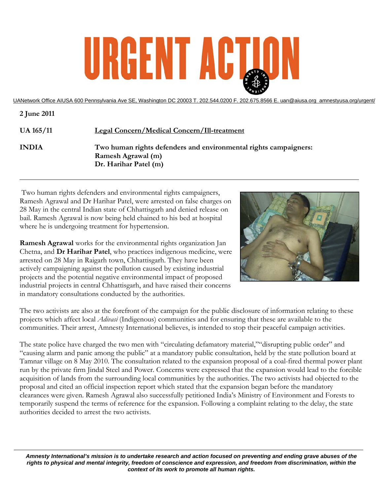# URGENT ACT

UANetwork Office AIUSA 600 Pennsylvania Ave SE, Washington DC 20003 T. 202.544.0200 F. 202.675.8566 E. uan@aiusa.org amnestyusa.org/urgent/

| 2 June 2011      |                                                                                                                 |
|------------------|-----------------------------------------------------------------------------------------------------------------|
| <b>UA 165/11</b> | <b>Legal Concern/Medical Concern/Ill-treatment</b>                                                              |
| <b>INDIA</b>     | Two human rights defenders and environmental rights campaigners:<br>Ramesh Agrawal (m)<br>Dr. Harihar Patel (m) |

 Two human rights defenders and environmental rights campaigners, Ramesh Agrawal and Dr Harihar Patel, were arrested on false charges on 28 May in the central Indian state of Chhattisgarh and denied release on bail. Ramesh Agrawal is now being held chained to his bed at hospital where he is undergoing treatment for hypertension.

**Ramesh Agrawal** works for the environmental rights organization Jan Chetna, and **Dr Harihar Patel**, who practices indigenous medicine, were arrested on 28 May in Raigarh town, Chhattisgarh. They have been actively campaigning against the pollution caused by existing industrial projects and the potential negative environmental impact of proposed industrial projects in central Chhattisgarh, and have raised their concerns in mandatory consultations conducted by the authorities.



The two activists are also at the forefront of the campaign for the public disclosure of information relating to these projects which affect local *Adivasi* (Indigenous) communities and for ensuring that these are available to the communities. Their arrest, Amnesty International believes, is intended to stop their peaceful campaign activities.

The state police have charged the two men with "circulating defamatory material,""disrupting public order" and "causing alarm and panic among the public" at a mandatory public consultation, held by the state pollution board at Tamnar village on 8 May 2010. The consultation related to the expansion proposal of a coal-fired thermal power plant run by the private firm Jindal Steel and Power. Concerns were expressed that the expansion would lead to the forcible acquisition of lands from the surrounding local communities by the authorities. The two activists had objected to the proposal and cited an official inspection report which stated that the expansion began before the mandatory clearances were given. Ramesh Agrawal also successfully petitioned India's Ministry of Environment and Forests to temporarily suspend the terms of reference for the expansion. Following a complaint relating to the delay, the state authorities decided to arrest the two activists.

*Amnesty International's mission is to undertake research and action focused on preventing and ending grave abuses of the rights to physical and mental integrity, freedom of conscience and expression, and freedom from discrimination, within the context of its work to promote all human rights.*